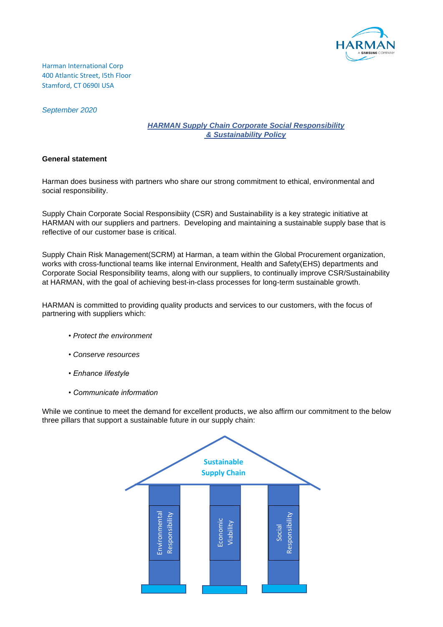

Harman International Corp 400 Atlantic Street, I5th Floor Stamford, CT 0690I USA

*September 2020*

## *HARMAN Supply Chain Corporate Social Responsibility & Sustainability Policy*

### **General statement**

Harman does business with partners who share our strong commitment to ethical, environmental and social responsibility.

Supply Chain Corporate Social Responsibiity (CSR) and Sustainability is a key strategic initiative at HARMAN with our suppliers and partners. Developing and maintaining a sustainable supply base that is reflective of our customer base is critical.

Supply Chain Risk Management(SCRM) at Harman, a team within the Global Procurement organization, works with cross-functional teams like internal Environment, Health and Safety(EHS) departments and Corporate Social Responsibility teams, along with our suppliers, to continually improve CSR/Sustainability at HARMAN, with the goal of achieving best-in-class processes for long-term sustainable growth.

HARMAN is committed to providing quality products and services to our customers, with the focus of partnering with suppliers which:

- *Protect the environment*
- *Conserve resources*
- *Enhance lifestyle*
- *Communicate information*

While we continue to meet the demand for excellent products, we also affirm our commitment to the below three pillars that support a sustainable future in our supply chain:

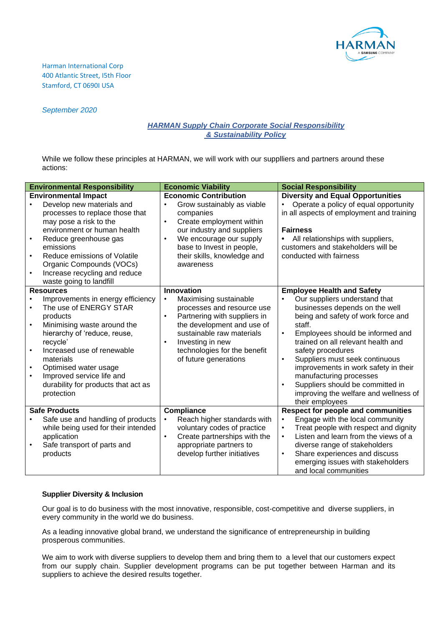

Harman International Corp 400 Atlantic Street, I5th Floor Stamford, CT 0690I USA

### *September 2020*

# *HARMAN Supply Chain Corporate Social Responsibility & Sustainability Policy*

While we follow these principles at HARMAN, we will work with our supplliers and partners around these actions:

| <b>Environmental Responsibility</b>                                                                                                                                                                                                                                                                                                                                              | <b>Economic Viability</b>                                                                                                                                                                                                                                                                | <b>Social Responsibility</b>                                                                                                                                                                                                                                                                                                                                                                                                                                                                                 |
|----------------------------------------------------------------------------------------------------------------------------------------------------------------------------------------------------------------------------------------------------------------------------------------------------------------------------------------------------------------------------------|------------------------------------------------------------------------------------------------------------------------------------------------------------------------------------------------------------------------------------------------------------------------------------------|--------------------------------------------------------------------------------------------------------------------------------------------------------------------------------------------------------------------------------------------------------------------------------------------------------------------------------------------------------------------------------------------------------------------------------------------------------------------------------------------------------------|
| <b>Environmental Impact</b><br>Develop new materials and<br>processes to replace those that<br>may pose a risk to the<br>environment or human health<br>Reduce greenhouse gas<br>$\bullet$<br>emissions<br>Reduce emissions of Volatile<br>$\bullet$<br>Organic Compounds (VOCs)<br>Increase recycling and reduce<br>waste going to landfill                                     | <b>Economic Contribution</b><br>Grow sustainably as viable<br>$\bullet$<br>companies<br>Create employment within<br>$\bullet$<br>our industry and suppliers<br>We encourage our supply<br>$\bullet$<br>base to Invest in people,<br>their skills, knowledge and<br>awareness             | <b>Diversity and Equal Opportunities</b><br>Operate a policy of equal opportunity<br>in all aspects of employment and training<br><b>Fairness</b><br>All relationships with suppliers,<br>$\bullet$<br>customers and stakeholders will be<br>conducted with fairness                                                                                                                                                                                                                                         |
| <b>Resources</b><br>Improvements in energy efficiency<br>$\bullet$<br>The use of ENERGY STAR<br>products<br>Minimising waste around the<br>$\bullet$<br>hierarchy of 'reduce, reuse,<br>recycle'<br>Increased use of renewable<br>$\bullet$<br>materials<br>Optimised water usage<br>Improved service life and<br>$\bullet$<br>durability for products that act as<br>protection | <b>Innovation</b><br>Maximising sustainable<br>$\bullet$<br>processes and resource use<br>Partnering with suppliers in<br>$\bullet$<br>the development and use of<br>sustainable raw materials<br>Investing in new<br>$\bullet$<br>technologies for the benefit<br>of future generations | <b>Employee Health and Safety</b><br>Our suppliers understand that<br>$\bullet$<br>businesses depends on the well<br>being and safety of work force and<br>staff.<br>Employees should be informed and<br>$\bullet$<br>trained on all relevant health and<br>safety procedures<br>Suppliers must seek continuous<br>$\bullet$<br>improvements in work safety in their<br>manufacturing processes<br>Suppliers should be committed in<br>$\bullet$<br>improving the welfare and wellness of<br>their employees |
| <b>Safe Products</b><br>Safe use and handling of products<br>while being used for their intended<br>application<br>Safe transport of parts and<br>$\bullet$<br>products                                                                                                                                                                                                          | Compliance<br>Reach higher standards with<br>$\bullet$<br>voluntary codes of practice<br>Create partnerships with the<br>$\bullet$<br>appropriate partners to<br>develop further initiatives                                                                                             | <b>Respect for people and communities</b><br>Engage with the local community<br>$\bullet$<br>Treat people with respect and dignity<br>$\bullet$<br>Listen and learn from the views of a<br>$\bullet$<br>diverse range of stakeholders<br>Share experiences and discuss<br>$\bullet$<br>emerging issues with stakeholders<br>and local communities                                                                                                                                                            |

# **Supplier Diversity & Inclusion**

Our goal is to do business with the most innovative, responsible, cost-competitive and diverse suppliers, in every community in the world we do business.

As a leading innovative global brand, we understand the significance of entrepreneurship in building prosperous communities.

We aim to work with diverse suppliers to develop them and bring them to a level that our customers expect from our supply chain. Supplier development programs can be put together between Harman and its suppliers to achieve the desired results together.